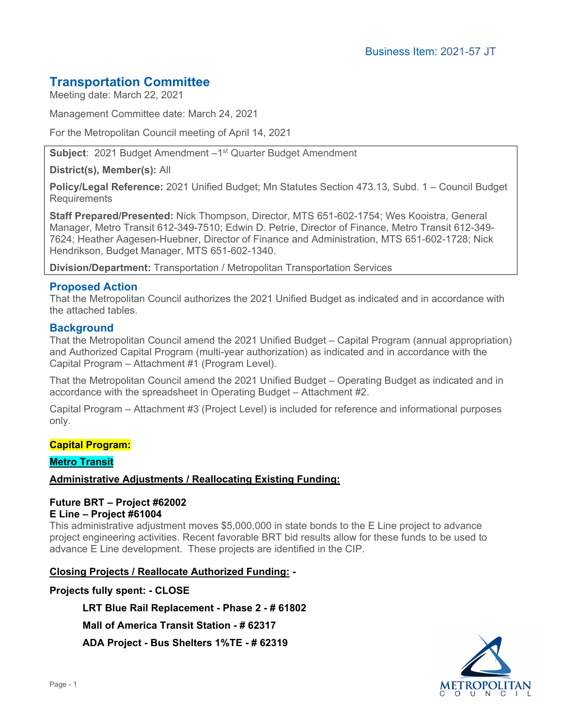# **Transportation Committee**

Meeting date: March 22, 2021

Management Committee date: March 24, 2021

For the Metropolitan Council meeting of April 14, 2021

**Subject: 2021 Budget Amendment –1<sup>st</sup> Quarter Budget Amendment** 

**District(s), Member(s):** All

**Policy/Legal Reference:** 2021 Unified Budget; Mn Statutes Section 473.13, Subd. 1 – Council Budget **Requirements** 

**Staff Prepared/Presented:** Nick Thompson, Director, MTS 651-602-1754; Wes Kooistra, General Manager, Metro Transit 612-349-7510; Edwin D. Petrie, Director of Finance, Metro Transit 612-349- 7624; Heather Aagesen-Huebner, Director of Finance and Administration, MTS 651-602-1728; Nick Hendrikson, Budget Manager, MTS 651-602-1340.

**Division/Department:** Transportation / Metropolitan Transportation Services

#### **Proposed Action**

That the Metropolitan Council authorizes the 2021 Unified Budget as indicated and in accordance with the attached tables.

#### **Background**

That the Metropolitan Council amend the 2021 Unified Budget – Capital Program (annual appropriation) and Authorized Capital Program (multi-year authorization) as indicated and in accordance with the Capital Program – Attachment #1 (Program Level).

That the Metropolitan Council amend the 2021 Unified Budget – Operating Budget as indicated and in accordance with the spreadsheet in Operating Budget – Attachment #2.

Capital Program – Attachment #3 (Project Level) is included for reference and informational purposes only.

#### **Capital Program:**

#### **Metro Transit**

#### **Administrative Adjustments / Reallocating Existing Funding:**

# **Future BRT – Project #62002**

#### **E Line – Project #61004**

This administrative adjustment moves \$5,000,000 in state bonds to the E Line project to advance project engineering activities. Recent favorable BRT bid results allow for these funds to be used to advance E Line development. These projects are identified in the CIP.

#### **Closing Projects / Reallocate Authorized Funding: -**

#### **Projects fully spent: - CLOSE**

**LRT Blue Rail Replacement - Phase 2 - # 61802** 

**Mall of America Transit Station - # 62317** 

**ADA Project - Bus Shelters 1%TE - # 62319** 

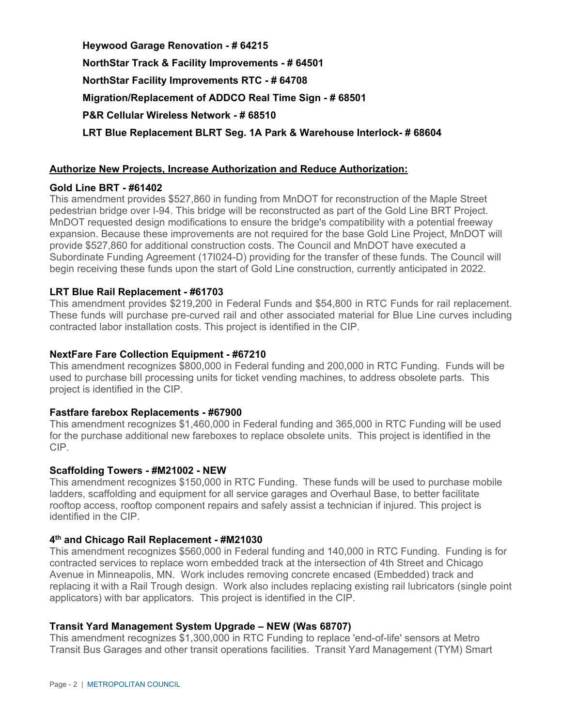**Heywood Garage Renovation - # 64215 NorthStar Track & Facility Improvements - # 64501 NorthStar Facility Improvements RTC - # 64708 Migration/Replacement of ADDCO Real Time Sign - # 68501 P&R Cellular Wireless Network - # 68510 LRT Blue Replacement BLRT Seg. 1A Park & Warehouse Interlock- # 68604** 

#### **Authorize New Projects, Increase Authorization and Reduce Authorization:**

#### **Gold Line BRT - #61402**

This amendment provides \$527,860 in funding from MnDOT for reconstruction of the Maple Street pedestrian bridge over I-94. This bridge will be reconstructed as part of the Gold Line BRT Project. MnDOT requested design modifications to ensure the bridge's compatibility with a potential freeway expansion. Because these improvements are not required for the base Gold Line Project, MnDOT will provide \$527,860 for additional construction costs. The Council and MnDOT have executed a Subordinate Funding Agreement (17I024-D) providing for the transfer of these funds. The Council will begin receiving these funds upon the start of Gold Line construction, currently anticipated in 2022.

#### **LRT Blue Rail Replacement - #61703**

This amendment provides \$219,200 in Federal Funds and \$54,800 in RTC Funds for rail replacement. These funds will purchase pre-curved rail and other associated material for Blue Line curves including contracted labor installation costs. This project is identified in the CIP.

#### **NextFare Fare Collection Equipment - #67210**

This amendment recognizes \$800,000 in Federal funding and 200,000 in RTC Funding. Funds will be used to purchase bill processing units for ticket vending machines, to address obsolete parts. This project is identified in the CIP.

#### **Fastfare farebox Replacements - #67900**

This amendment recognizes \$1,460,000 in Federal funding and 365,000 in RTC Funding will be used for the purchase additional new fareboxes to replace obsolete units. This project is identified in the CIP.

#### **Scaffolding Towers - #M21002 - NEW**

This amendment recognizes \$150,000 in RTC Funding. These funds will be used to purchase mobile ladders, scaffolding and equipment for all service garages and Overhaul Base, to better facilitate rooftop access, rooftop component repairs and safely assist a technician if injured. This project is identified in the CIP.

#### **4th and Chicago Rail Replacement - #M21030**

This amendment recognizes \$560,000 in Federal funding and 140,000 in RTC Funding. Funding is for contracted services to replace worn embedded track at the intersection of 4th Street and Chicago Avenue in Minneapolis, MN. Work includes removing concrete encased (Embedded) track and replacing it with a Rail Trough design. Work also includes replacing existing rail lubricators (single point applicators) with bar applicators. This project is identified in the CIP.

#### **Transit Yard Management System Upgrade – NEW (Was 68707)**

This amendment recognizes \$1,300,000 in RTC Funding to replace 'end-of-life' sensors at Metro Transit Bus Garages and other transit operations facilities. Transit Yard Management (TYM) Smart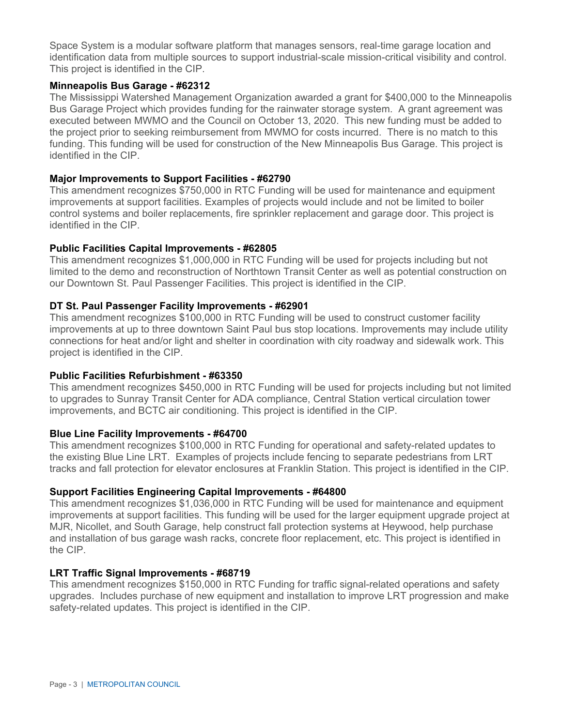Space System is a modular software platform that manages sensors, real-time garage location and identification data from multiple sources to support industrial-scale mission-critical visibility and control. This project is identified in the CIP.

#### **Minneapolis Bus Garage - #62312**

The Mississippi Watershed Management Organization awarded a grant for \$400,000 to the Minneapolis Bus Garage Project which provides funding for the rainwater storage system. A grant agreement was executed between MWMO and the Council on October 13, 2020. This new funding must be added to the project prior to seeking reimbursement from MWMO for costs incurred. There is no match to this funding. This funding will be used for construction of the New Minneapolis Bus Garage. This project is identified in the CIP.

#### **Major Improvements to Support Facilities - #62790**

This amendment recognizes \$750,000 in RTC Funding will be used for maintenance and equipment improvements at support facilities. Examples of projects would include and not be limited to boiler control systems and boiler replacements, fire sprinkler replacement and garage door. This project is identified in the CIP.

#### **Public Facilities Capital Improvements - #62805**

This amendment recognizes \$1,000,000 in RTC Funding will be used for projects including but not limited to the demo and reconstruction of Northtown Transit Center as well as potential construction on our Downtown St. Paul Passenger Facilities. This project is identified in the CIP.

#### **DT St. Paul Passenger Facility Improvements - #62901**

This amendment recognizes \$100,000 in RTC Funding will be used to construct customer facility improvements at up to three downtown Saint Paul bus stop locations. Improvements may include utility connections for heat and/or light and shelter in coordination with city roadway and sidewalk work. This project is identified in the CIP.

#### **Public Facilities Refurbishment - #63350**

This amendment recognizes \$450,000 in RTC Funding will be used for projects including but not limited to upgrades to Sunray Transit Center for ADA compliance, Central Station vertical circulation tower improvements, and BCTC air conditioning. This project is identified in the CIP.

#### **Blue Line Facility Improvements - #64700**

This amendment recognizes \$100,000 in RTC Funding for operational and safety-related updates to the existing Blue Line LRT. Examples of projects include fencing to separate pedestrians from LRT tracks and fall protection for elevator enclosures at Franklin Station. This project is identified in the CIP.

#### **Support Facilities Engineering Capital Improvements - #64800**

This amendment recognizes \$1,036,000 in RTC Funding will be used for maintenance and equipment improvements at support facilities. This funding will be used for the larger equipment upgrade project at MJR, Nicollet, and South Garage, help construct fall protection systems at Heywood, help purchase and installation of bus garage wash racks, concrete floor replacement, etc. This project is identified in the CIP.

#### **LRT Traffic Signal Improvements - #68719**

This amendment recognizes \$150,000 in RTC Funding for traffic signal-related operations and safety upgrades. Includes purchase of new equipment and installation to improve LRT progression and make safety-related updates. This project is identified in the CIP.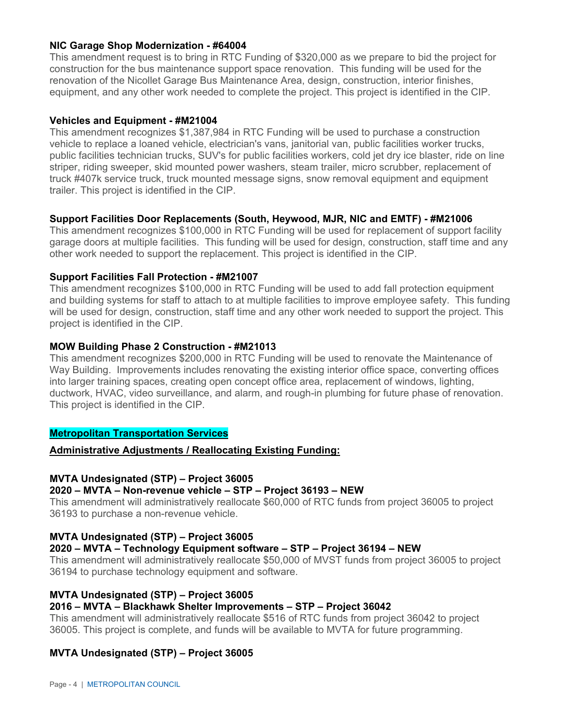#### **NIC Garage Shop Modernization - #64004**

This amendment request is to bring in RTC Funding of \$320,000 as we prepare to bid the project for construction for the bus maintenance support space renovation. This funding will be used for the renovation of the Nicollet Garage Bus Maintenance Area, design, construction, interior finishes, equipment, and any other work needed to complete the project. This project is identified in the CIP.

#### **Vehicles and Equipment - #M21004**

This amendment recognizes \$1,387,984 in RTC Funding will be used to purchase a construction vehicle to replace a loaned vehicle, electrician's vans, janitorial van, public facilities worker trucks, public facilities technician trucks, SUV's for public facilities workers, cold jet dry ice blaster, ride on line striper, riding sweeper, skid mounted power washers, steam trailer, micro scrubber, replacement of truck #407k service truck, truck mounted message signs, snow removal equipment and equipment trailer. This project is identified in the CIP.

#### **Support Facilities Door Replacements (South, Heywood, MJR, NIC and EMTF) - #M21006**

This amendment recognizes \$100,000 in RTC Funding will be used for replacement of support facility garage doors at multiple facilities. This funding will be used for design, construction, staff time and any other work needed to support the replacement. This project is identified in the CIP.

#### **Support Facilities Fall Protection - #M21007**

This amendment recognizes \$100,000 in RTC Funding will be used to add fall protection equipment and building systems for staff to attach to at multiple facilities to improve employee safety. This funding will be used for design, construction, staff time and any other work needed to support the project. This project is identified in the CIP.

#### **MOW Building Phase 2 Construction - #M21013**

This amendment recognizes \$200,000 in RTC Funding will be used to renovate the Maintenance of Way Building. Improvements includes renovating the existing interior office space, converting offices into larger training spaces, creating open concept office area, replacement of windows, lighting, ductwork, HVAC, video surveillance, and alarm, and rough-in plumbing for future phase of renovation. This project is identified in the CIP.

#### **Metropolitan Transportation Services**

#### **Administrative Adjustments / Reallocating Existing Funding:**

#### **MVTA Undesignated (STP) – Project 36005**

#### **2020 – MVTA – Non-revenue vehicle – STP – Project 36193 – NEW**

This amendment will administratively reallocate \$60,000 of RTC funds from project 36005 to project 36193 to purchase a non-revenue vehicle.

#### **MVTA Undesignated (STP) – Project 36005**

#### **2020 – MVTA – Technology Equipment software – STP – Project 36194 – NEW**

This amendment will administratively reallocate \$50,000 of MVST funds from project 36005 to project 36194 to purchase technology equipment and software.

#### **MVTA Undesignated (STP) – Project 36005**

#### **2016 – MVTA – Blackhawk Shelter Improvements – STP – Project 36042**

This amendment will administratively reallocate \$516 of RTC funds from project 36042 to project 36005. This project is complete, and funds will be available to MVTA for future programming.

#### **MVTA Undesignated (STP) – Project 36005**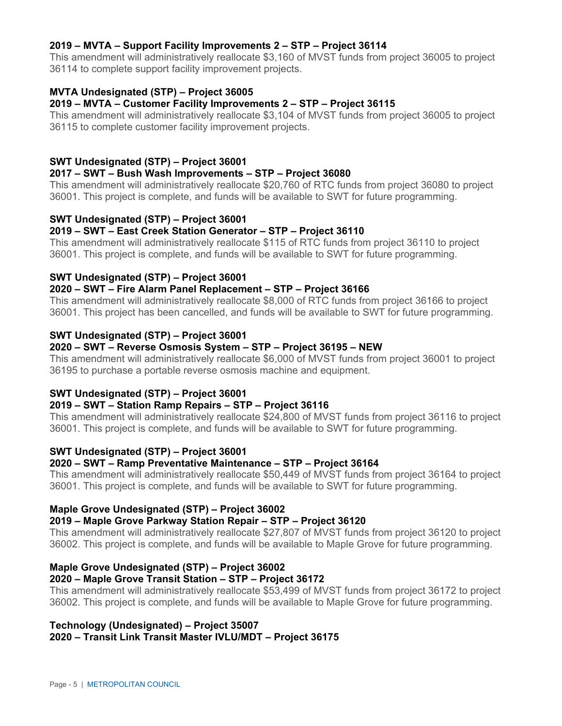#### **2019 – MVTA – Support Facility Improvements 2 – STP – Project 36114**

This amendment will administratively reallocate \$3,160 of MVST funds from project 36005 to project 36114 to complete support facility improvement projects.

#### **MVTA Undesignated (STP) – Project 36005**

#### **2019 – MVTA – Customer Facility Improvements 2 – STP – Project 36115**

This amendment will administratively reallocate \$3,104 of MVST funds from project 36005 to project 36115 to complete customer facility improvement projects.

#### **SWT Undesignated (STP) – Project 36001**

#### **2017 – SWT – Bush Wash Improvements – STP – Project 36080**

This amendment will administratively reallocate \$20,760 of RTC funds from project 36080 to project 36001. This project is complete, and funds will be available to SWT for future programming.

#### **SWT Undesignated (STP) – Project 36001**

#### **2019 – SWT – East Creek Station Generator – STP – Project 36110**

This amendment will administratively reallocate \$115 of RTC funds from project 36110 to project 36001. This project is complete, and funds will be available to SWT for future programming.

#### **SWT Undesignated (STP) – Project 36001**

#### **2020 – SWT – Fire Alarm Panel Replacement – STP – Project 36166**

This amendment will administratively reallocate \$8,000 of RTC funds from project 36166 to project 36001. This project has been cancelled, and funds will be available to SWT for future programming.

#### **SWT Undesignated (STP) – Project 36001**

#### **2020 – SWT – Reverse Osmosis System – STP – Project 36195 – NEW**

This amendment will administratively reallocate \$6,000 of MVST funds from project 36001 to project 36195 to purchase a portable reverse osmosis machine and equipment.

## **SWT Undesignated (STP) – Project 36001**

#### **2019 – SWT – Station Ramp Repairs – STP – Project 36116**

This amendment will administratively reallocate \$24,800 of MVST funds from project 36116 to project 36001. This project is complete, and funds will be available to SWT for future programming.

#### **SWT Undesignated (STP) – Project 36001**

#### **2020 – SWT – Ramp Preventative Maintenance – STP – Project 36164**

This amendment will administratively reallocate \$50,449 of MVST funds from project 36164 to project 36001. This project is complete, and funds will be available to SWT for future programming.

#### **Maple Grove Undesignated (STP) – Project 36002**

#### **2019 – Maple Grove Parkway Station Repair – STP – Project 36120**

This amendment will administratively reallocate \$27,807 of MVST funds from project 36120 to project 36002. This project is complete, and funds will be available to Maple Grove for future programming.

#### **Maple Grove Undesignated (STP) – Project 36002**

#### **2020 – Maple Grove Transit Station – STP – Project 36172**

This amendment will administratively reallocate \$53,499 of MVST funds from project 36172 to project 36002. This project is complete, and funds will be available to Maple Grove for future programming.

# **Technology (Undesignated) – Project 35007**

#### **2020 – Transit Link Transit Master IVLU/MDT – Project 36175**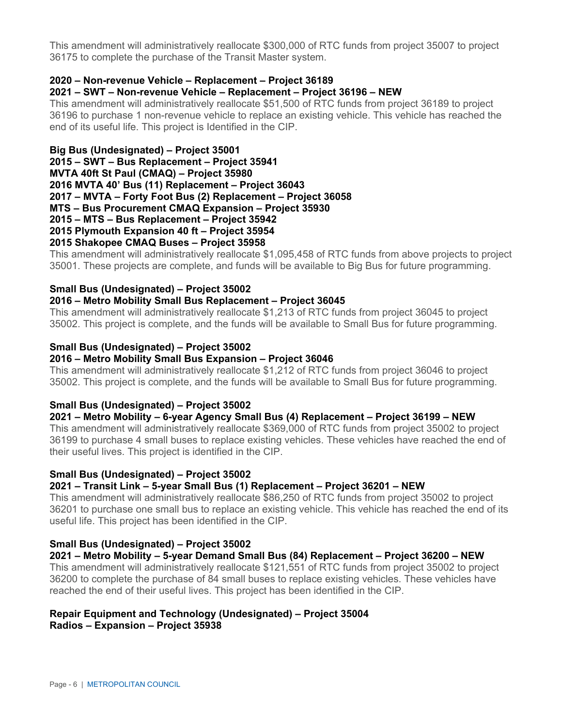This amendment will administratively reallocate \$300,000 of RTC funds from project 35007 to project 36175 to complete the purchase of the Transit Master system.

#### **2020 – Non-revenue Vehicle – Replacement – Project 36189**

#### **2021 – SWT – Non-revenue Vehicle – Replacement – Project 36196 – NEW**

This amendment will administratively reallocate \$51,500 of RTC funds from project 36189 to project 36196 to purchase 1 non-revenue vehicle to replace an existing vehicle. This vehicle has reached the end of its useful life. This project is Identified in the CIP.

**Big Bus (Undesignated) – Project 35001 2015 – SWT – Bus Replacement – Project 35941 MVTA 40ft St Paul (CMAQ) – Project 35980 2016 MVTA 40' Bus (11) Replacement – Project 36043 2017 – MVTA – Forty Foot Bus (2) Replacement – Project 36058 MTS – Bus Procurement CMAQ Expansion – Project 35930 2015 – MTS – Bus Replacement – Project 35942 2015 Plymouth Expansion 40 ft – Project 35954 2015 Shakopee CMAQ Buses – Project 35958** 

This amendment will administratively reallocate \$1,095,458 of RTC funds from above projects to project 35001. These projects are complete, and funds will be available to Big Bus for future programming.

#### **Small Bus (Undesignated) – Project 35002**

#### **2016 – Metro Mobility Small Bus Replacement – Project 36045**

This amendment will administratively reallocate \$1,213 of RTC funds from project 36045 to project 35002. This project is complete, and the funds will be available to Small Bus for future programming.

#### **Small Bus (Undesignated) – Project 35002**

#### **2016 – Metro Mobility Small Bus Expansion – Project 36046**

This amendment will administratively reallocate \$1,212 of RTC funds from project 36046 to project 35002. This project is complete, and the funds will be available to Small Bus for future programming.

#### **Small Bus (Undesignated) – Project 35002**

#### **2021 – Metro Mobility – 6-year Agency Small Bus (4) Replacement – Project 36199 – NEW**

This amendment will administratively reallocate \$369,000 of RTC funds from project 35002 to project 36199 to purchase 4 small buses to replace existing vehicles. These vehicles have reached the end of their useful lives. This project is identified in the CIP.

#### **Small Bus (Undesignated) – Project 35002**

#### **2021 – Transit Link – 5-year Small Bus (1) Replacement – Project 36201 – NEW**

This amendment will administratively reallocate \$86,250 of RTC funds from project 35002 to project 36201 to purchase one small bus to replace an existing vehicle. This vehicle has reached the end of its useful life. This project has been identified in the CIP.

#### **Small Bus (Undesignated) – Project 35002**

**2021 – Metro Mobility – 5-year Demand Small Bus (84) Replacement – Project 36200 – NEW**  This amendment will administratively reallocate \$121,551 of RTC funds from project 35002 to project 36200 to complete the purchase of 84 small buses to replace existing vehicles. These vehicles have reached the end of their useful lives. This project has been identified in the CIP.

#### **Repair Equipment and Technology (Undesignated) – Project 35004 Radios – Expansion – Project 35938**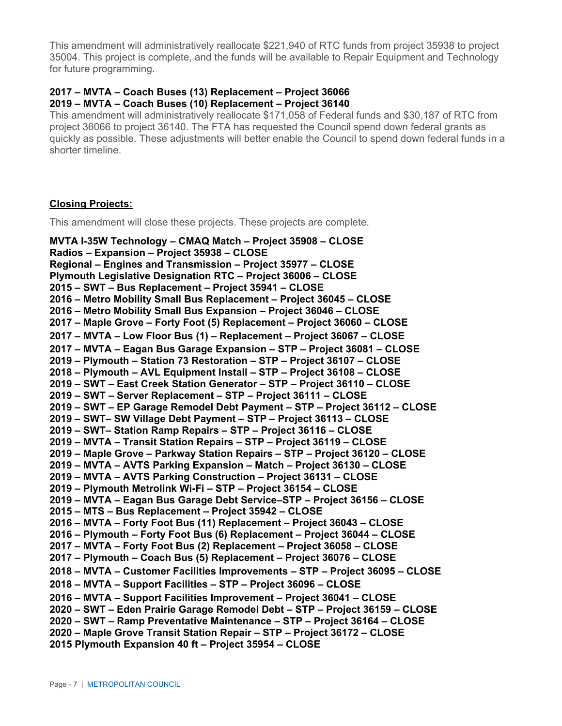This amendment will administratively reallocate \$221,940 of RTC funds from project 35938 to project 35004. This project is complete, and the funds will be available to Repair Equipment and Technology for future programming.

#### **2017 – MVTA – Coach Buses (13) Replacement – Project 36066 2019 – MVTA – Coach Buses (10) Replacement – Project 36140**

This amendment will administratively reallocate \$171,058 of Federal funds and \$30,187 of RTC from project 36066 to project 36140. The FTA has requested the Council spend down federal grants as quickly as possible. These adjustments will better enable the Council to spend down federal funds in a shorter timeline.

#### **Closing Projects:**

This amendment will close these projects. These projects are complete.

**MVTA I-35W Technology – CMAQ Match – Project 35908 – CLOSE Radios – Expansion – Project 35938 – CLOSE Regional – Engines and Transmission – Project 35977 – CLOSE Plymouth Legislative Designation RTC – Project 36006 – CLOSE 2015 – SWT – Bus Replacement – Project 35941 – CLOSE 2016 – Metro Mobility Small Bus Replacement – Project 36045 – CLOSE 2016 – Metro Mobility Small Bus Expansion – Project 36046 – CLOSE 2017 – Maple Grove – Forty Foot (5) Replacement – Project 36060 – CLOSE 2017 – MVTA – Low Floor Bus (1) – Replacement – Project 36067 – CLOSE 2017 – MVTA – Eagan Bus Garage Expansion – STP – Project 36081 – CLOSE 2019 – Plymouth – Station 73 Restoration – STP – Project 36107 – CLOSE 2018 – Plymouth – AVL Equipment Install – STP – Project 36108 – CLOSE 2019 – SWT – East Creek Station Generator – STP – Project 36110 – CLOSE 2019 – SWT – Server Replacement – STP – Project 36111 – CLOSE 2019 – SWT – EP Garage Remodel Debt Payment – STP – Project 36112 – CLOSE 2019 – SWT– SW Village Debt Payment – STP – Project 36113 – CLOSE 2019 – SWT– Station Ramp Repairs – STP – Project 36116 – CLOSE 2019 – MVTA – Transit Station Repairs – STP – Project 36119 – CLOSE 2019 – Maple Grove – Parkway Station Repairs – STP – Project 36120 – CLOSE 2019 – MVTA – AVTS Parking Expansion – Match – Project 36130 – CLOSE 2019 – MVTA – AVTS Parking Construction – Project 36131 – CLOSE 2019 – Plymouth Metrolink Wi-Fi – STP – Project 36154 – CLOSE 2019 – MVTA – Eagan Bus Garage Debt Service–STP – Project 36156 – CLOSE 2015 – MTS – Bus Replacement – Project 35942 – CLOSE 2016 – MVTA – Forty Foot Bus (11) Replacement – Project 36043 – CLOSE 2016 – Plymouth – Forty Foot Bus (6) Replacement – Project 36044 – CLOSE 2017 – MVTA – Forty Foot Bus (2) Replacement – Project 36058 – CLOSE 2017 – Plymouth – Coach Bus (5) Replacement – Project 36076 – CLOSE 2018 – MVTA – Customer Facilities Improvements – STP – Project 36095 – CLOSE 2018 – MVTA – Support Facilities – STP – Project 36096 – CLOSE 2016 – MVTA – Support Facilities Improvement – Project 36041 – CLOSE 2020 – SWT – Eden Prairie Garage Remodel Debt – STP – Project 36159 – CLOSE 2020 – SWT – Ramp Preventative Maintenance – STP – Project 36164 – CLOSE 2020 – Maple Grove Transit Station Repair – STP – Project 36172 – CLOSE 2015 Plymouth Expansion 40 ft – Project 35954 – CLOSE**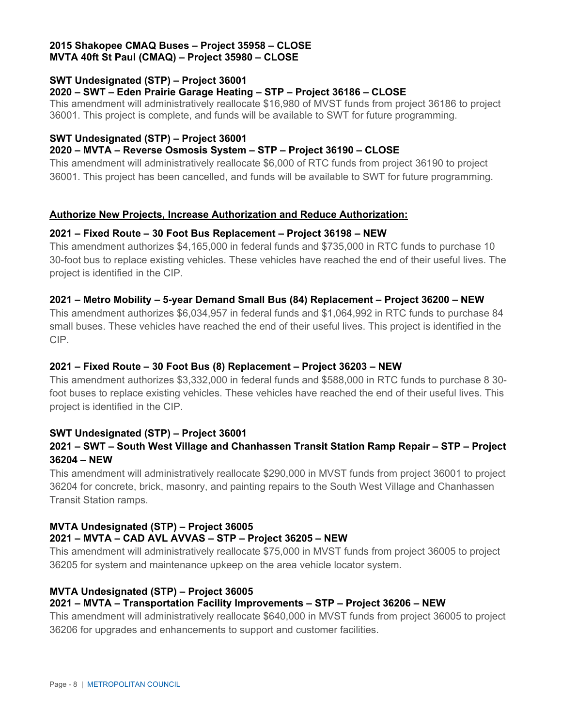#### **2015 Shakopee CMAQ Buses – Project 35958 – CLOSE MVTA 40ft St Paul (CMAQ) – Project 35980 – CLOSE**

#### **SWT Undesignated (STP) – Project 36001**

#### **2020 – SWT – Eden Prairie Garage Heating – STP – Project 36186 – CLOSE**

This amendment will administratively reallocate \$16,980 of MVST funds from project 36186 to project 36001. This project is complete, and funds will be available to SWT for future programming.

#### **SWT Undesignated (STP) – Project 36001**

#### **2020 – MVTA – Reverse Osmosis System – STP – Project 36190 – CLOSE**

This amendment will administratively reallocate \$6,000 of RTC funds from project 36190 to project 36001. This project has been cancelled, and funds will be available to SWT for future programming.

#### **Authorize New Projects, Increase Authorization and Reduce Authorization:**

#### **2021 – Fixed Route – 30 Foot Bus Replacement – Project 36198 – NEW**

This amendment authorizes \$4,165,000 in federal funds and \$735,000 in RTC funds to purchase 10 30-foot bus to replace existing vehicles. These vehicles have reached the end of their useful lives. The project is identified in the CIP.

#### **2021 – Metro Mobility – 5-year Demand Small Bus (84) Replacement – Project 36200 – NEW**

This amendment authorizes \$6,034,957 in federal funds and \$1,064,992 in RTC funds to purchase 84 small buses. These vehicles have reached the end of their useful lives. This project is identified in the CIP.

#### **2021 – Fixed Route – 30 Foot Bus (8) Replacement – Project 36203 – NEW**

This amendment authorizes \$3,332,000 in federal funds and \$588,000 in RTC funds to purchase 8 30 foot buses to replace existing vehicles. These vehicles have reached the end of their useful lives. This project is identified in the CIP.

#### **SWT Undesignated (STP) – Project 36001**

## **2021 – SWT – South West Village and Chanhassen Transit Station Ramp Repair – STP – Project 36204 – NEW**

This amendment will administratively reallocate \$290,000 in MVST funds from project 36001 to project 36204 for concrete, brick, masonry, and painting repairs to the South West Village and Chanhassen Transit Station ramps.

## **MVTA Undesignated (STP) – Project 36005 2021 – MVTA – CAD AVL AVVAS – STP – Project 36205 – NEW**

This amendment will administratively reallocate \$75,000 in MVST funds from project 36005 to project 36205 for system and maintenance upkeep on the area vehicle locator system.

## **MVTA Undesignated (STP) – Project 36005**

## **2021 – MVTA – Transportation Facility Improvements – STP – Project 36206 – NEW**

This amendment will administratively reallocate \$640,000 in MVST funds from project 36005 to project 36206 for upgrades and enhancements to support and customer facilities.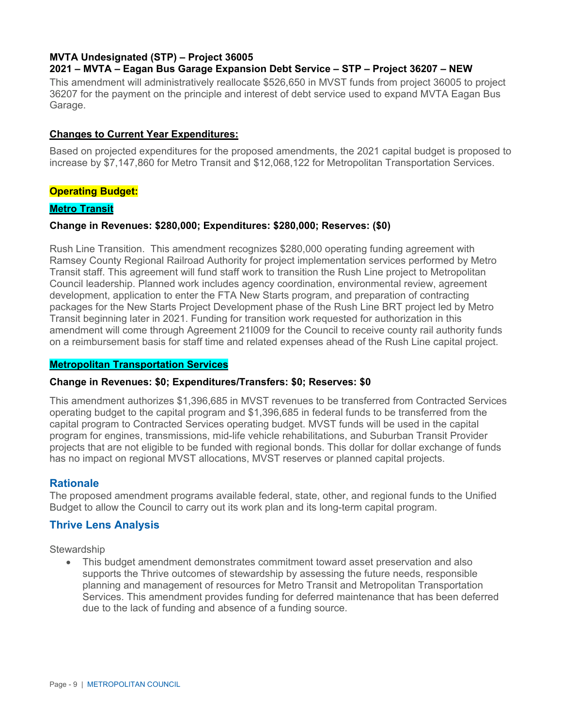#### **MVTA Undesignated (STP) – Project 36005 2021 – MVTA – Eagan Bus Garage Expansion Debt Service – STP – Project 36207 – NEW**

This amendment will administratively reallocate \$526,650 in MVST funds from project 36005 to project 36207 for the payment on the principle and interest of debt service used to expand MVTA Eagan Bus Garage.

#### **Changes to Current Year Expenditures:**

Based on projected expenditures for the proposed amendments, the 2021 capital budget is proposed to increase by \$7,147,860 for Metro Transit and \$12,068,122 for Metropolitan Transportation Services.

#### **Operating Budget:**

#### **Metro Transit**

#### **Change in Revenues: \$280,000; Expenditures: \$280,000; Reserves: (\$0)**

Rush Line Transition. This amendment recognizes \$280,000 operating funding agreement with Ramsey County Regional Railroad Authority for project implementation services performed by Metro Transit staff. This agreement will fund staff work to transition the Rush Line project to Metropolitan Council leadership. Planned work includes agency coordination, environmental review, agreement development, application to enter the FTA New Starts program, and preparation of contracting packages for the New Starts Project Development phase of the Rush Line BRT project led by Metro Transit beginning later in 2021. Funding for transition work requested for authorization in this amendment will come through Agreement 21I009 for the Council to receive county rail authority funds on a reimbursement basis for staff time and related expenses ahead of the Rush Line capital project.

#### **Metropolitan Transportation Services**

#### **Change in Revenues: \$0; Expenditures/Transfers: \$0; Reserves: \$0**

This amendment authorizes \$1,396,685 in MVST revenues to be transferred from Contracted Services operating budget to the capital program and \$1,396,685 in federal funds to be transferred from the capital program to Contracted Services operating budget. MVST funds will be used in the capital program for engines, transmissions, mid-life vehicle rehabilitations, and Suburban Transit Provider projects that are not eligible to be funded with regional bonds. This dollar for dollar exchange of funds has no impact on regional MVST allocations, MVST reserves or planned capital projects.

#### **Rationale**

The proposed amendment programs available federal, state, other, and regional funds to the Unified Budget to allow the Council to carry out its work plan and its long-term capital program.

#### **Thrive Lens Analysis**

**Stewardship** 

 This budget amendment demonstrates commitment toward asset preservation and also supports the Thrive outcomes of stewardship by assessing the future needs, responsible planning and management of resources for Metro Transit and Metropolitan Transportation Services. This amendment provides funding for deferred maintenance that has been deferred due to the lack of funding and absence of a funding source.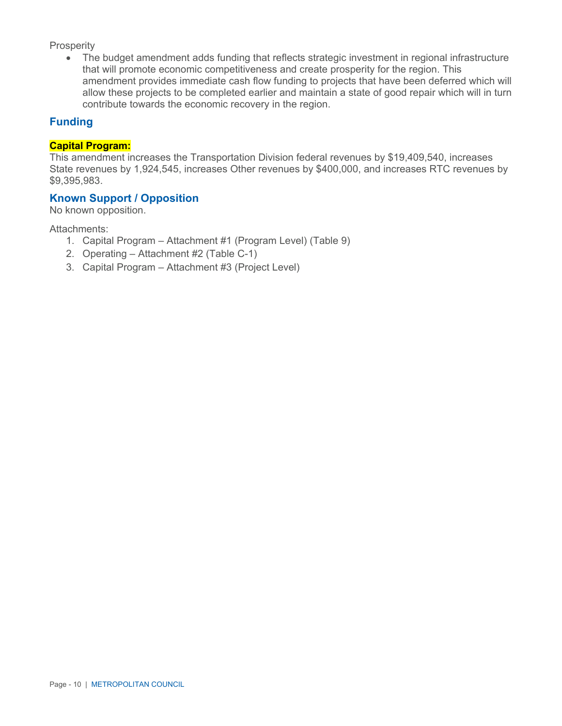#### **Prosperity**

 The budget amendment adds funding that reflects strategic investment in regional infrastructure that will promote economic competitiveness and create prosperity for the region. This amendment provides immediate cash flow funding to projects that have been deferred which will allow these projects to be completed earlier and maintain a state of good repair which will in turn contribute towards the economic recovery in the region.

#### **Funding**

#### **Capital Program:**

This amendment increases the Transportation Division federal revenues by \$19,409,540, increases State revenues by 1,924,545, increases Other revenues by \$400,000, and increases RTC revenues by \$9,395,983.

#### **Known Support / Opposition**

No known opposition.

Attachments:

- 1. Capital Program Attachment #1 (Program Level) (Table 9)
- 2. Operating Attachment #2 (Table C-1)
- 3. Capital Program Attachment #3 (Project Level)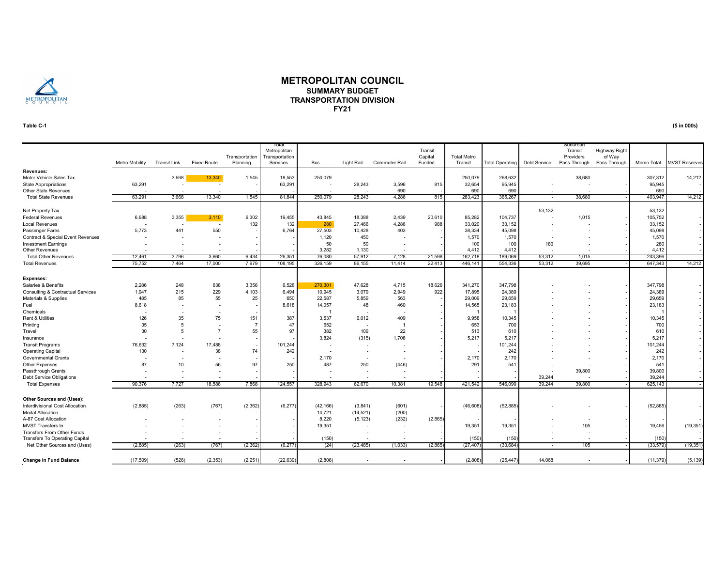

#### **METROPOLITAN COUNCILSUMMARY BUDGETTRANSPORTATION DIVISIONFY21**

#### **Table C-1**

Metro Mobility Transit Link Fixed Route **Transportation** Planning Total Metropolitan Transportation Bus Light Rail Commuter Rail Transit Capital Funded Total Metro Transit Total Operating Debt Service Suburba Transit Providers Pass-Through Highway Right of Way<br>Pass-Through Memo Total MVST Reserves **Revenues:**Motor Vehicle Sales Tax Motor Vehicle Sales Tax - 3,668 13,340 1,545 18,553 250,079 - - - - 250,079 268,632 - 38,680 - 37,312 14,212 State Appropriations 63,291 - 3,596 815 | 3,5945 | - - - 95,945 | -Other State Revenues - - - - - - - 690 - 690 690 - - - 690 -14.212 Total State Revenues 63,291 3,668 13,340 1,545 81,844 250,079 28,243 4,286 815 283,423 365,267 - 38,680 - 403,947 14,212 Net Property Tax - - - - - - - - - - - 53,132 - - 53,132 - Federal Revenues 6,688 3,355 <mark> 3,110</mark> 6,302 | 19,455 | 43,845 18,388 2,0439 20,610 | 85,282 | 104,737 | - 1,015 - 105,752 | -Local Revenues - - - - 132 | 132 280 27,466 4,286 988 33,020 33,152 - - - - | 33,152 -Passenger Fares 5,773 441 550 - 6,764 27,503 10,428 403 - 38,334 45,098 - - - - - 1 45,098 -Contract & Special Event Revenues - - - - - 1,120 450 - - 1,570 1,570 - - - 1,570 - Investment Earnings - - - - | - | 50 50 - - | 100 | 180 - - | 280 | -Other Revenues - - - - - - - - - - - - - - - - 3,282 1,130 - - - - - 4,412 - - - - - - - - - - 4,412 - - - - - Total Other Revenues 12,461 3,796 3,660 6,434 26,351 76,080 57,912 7,128 21,598 162,718 189,069 53,312 1,015 - 243,396 - Total Revenues 75,752 7,464 17,000 7,979 | 108,195 | 86,155 11,414 22,413 | 446,141 | 554,336 | 53,312 39,695 - | 647,343 | 14,212 **Expenses:** Salaries & Benefits 2,286 248 638 3,356 | 6,528 | 270,301 47,628 4,715 18,626 | 347,798 | - - - - - 347,798 | -Consulting & Contractual Services 1,947 215 229 4,103 6,494 10,945 3,079 2,949 922 17,895 24,389 - - - - 24,389<br>Materials & Supplies - - - - - - 29,659 561 22,587 5,859 563 - 29,009 29,659 - - - - - 29,659 Materials & Supplies 485 85 55 25 | 650 | 22,587 5,859 563 - | 29,009 | 29,009 | - - - - 29,659 | -Fuel 8,618 - - - 8,618 14,057 48 460 - 14,565 23,183 - - - 23,183 - Chemicals - - - - - 1 - - - 1 1 - - - 1 -Rent&Utilities 126 35 75 151 | 387 | 3,537 6,012 409 - | 9,958 | 10,345 | - - - - - - - - - - 10,345 | -Printing 35 5 - 7 47 652 - 1 - 653 700 - - - 700 - Travel 30 5 7 55 97 382 109 22 - 513 610 - - - 610 -Insurance - - - - - 3,824 (315) 1,708 - 5,217 5,217 - - - 5,217 - Transit Programs 76,632 7,124 17,488 - | 101,244 | - - - - - 101,244 | -Operating Capital 130 - 38 74 242 - - - - - 242 - - - 242 - Governmental Grants - - - - - 2,170 - - - 2,170 - - - 2,170 -Other Expenses 87 10 56 97 250 487 250 (446) - 291 541 - - - 541 - Passthrough Grants - - - - - - - - - - - - 39,800 - 39,800 - Debt Service Obligations - - - - - - - - - - - 39,244 - - 39,244 - Total Expenses 90,376 7,727 18,586 7,868 | 124,557 | 328,943 62,670 10,381 19,548 | 421,542 | 546,099 | 39,244 39,800 - | 625,143 | -**Other Sources and (Uses):** Interdivisional Cost Allocation (2,885) (263) (767) (2,362) (6,277) (42,166) (3,841) (601) - (46,608) (52,885) - - - (52,885) - Modal Allocation - - - - - 14,721 (14,521) (200) - - - - - - - - A-87 Cost Allocation - - - - - 8,220 (5,123) (232) (2,865) - - - - - - - MVST Transfers In - - - - - - - - 19,351 - - - - - 19,351 - - - 19,351 - 19,351 - 19,351 - 19,351 - 105 - 19,456 (19,351) Transfers From Other Funds - - - - - - - - - - - - - - - -Transfers To Operating Capital - - - - - (150) - - - (150) (150) - - - (150) - Net Other Sources and (Uses) (2,885) (233) (767) (2,362)】 (24) (23,485) (1,033) (2,865)】 (2,7407) (33,684) - 105 - (33,579) (19,351 **Change in Fund Balance** (526) (17,509) (2,353) (2,251) (22,639) (2,808) - - - (2,808) (25,447) 14,068 - - (11,379) (5,139)

**(\$ in 000s)**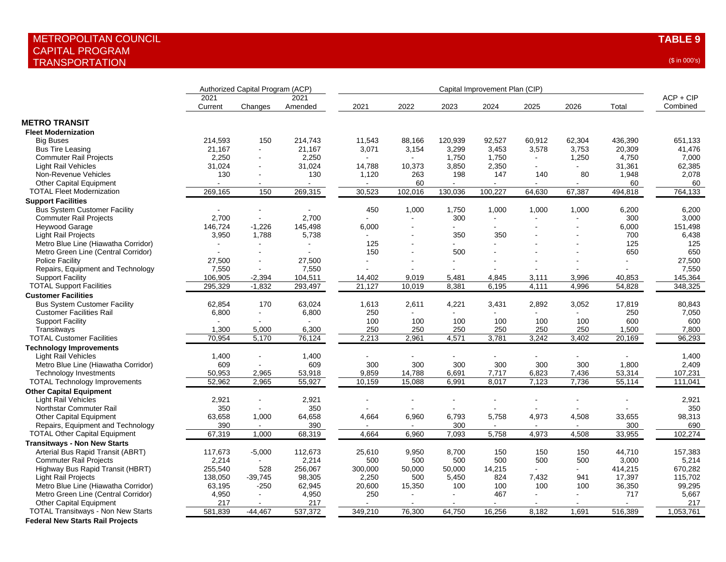|                                           | Authorized Capital Program (ACP) |                |                 | Capital Improvement Plan (CIP) |         |                |         |                |                |         |                         |
|-------------------------------------------|----------------------------------|----------------|-----------------|--------------------------------|---------|----------------|---------|----------------|----------------|---------|-------------------------|
|                                           | 2021<br>Current                  | Changes        | 2021<br>Amended | 2021                           | 2022    | 2023           | 2024    | 2025           | 2026           | Total   | $ACP + CIP$<br>Combined |
|                                           |                                  |                |                 |                                |         |                |         |                |                |         |                         |
| <b>METRO TRANSIT</b>                      |                                  |                |                 |                                |         |                |         |                |                |         |                         |
| <b>Fleet Modernization</b>                |                                  |                |                 |                                |         |                |         |                |                |         |                         |
| <b>Big Buses</b>                          | 214,593                          | 150            | 214,743         | 11,543                         | 88,166  | 120,939        | 92,527  | 60,912         | 62,304         | 436,390 | 651,133                 |
| <b>Bus Tire Leasing</b>                   | 21,167                           | ÷.             | 21,167          | 3,071                          | 3,154   | 3,299          | 3,453   | 3,578          | 3,753          | 20,309  | 41.476                  |
| <b>Commuter Rail Projects</b>             | 2,250                            |                | 2,250           |                                |         | 1,750          | 1,750   |                | 1,250          | 4,750   | 7,000                   |
| <b>Light Rail Vehicles</b>                | 31,024                           |                | 31,024          | 14,788                         | 10,373  | 3,850          | 2,350   | $\blacksquare$ |                | 31,361  | 62,385                  |
| Non-Revenue Vehicles                      | 130                              | $\blacksquare$ | 130             | 1,120                          | 263     | 198            | 147     | 140            | 80             | 1,948   | 2,078                   |
| <b>Other Capital Equipment</b>            |                                  |                |                 |                                | 60      | $\sim$         |         | $\blacksquare$ |                | 60      | 60                      |
| <b>TOTAL Fleet Modernization</b>          | 269,165                          | 150            | 269,315         | 30,523                         | 102,016 | 130,036        | 100,227 | 64,630         | 67,387         | 494,818 | 764,133                 |
| <b>Support Facilities</b>                 |                                  |                |                 |                                |         |                |         |                |                |         |                         |
| <b>Bus System Customer Facility</b>       |                                  |                |                 | 450                            | 1,000   | 1,750          | 1,000   | 1,000          | 1,000          | 6,200   | 6,200                   |
| <b>Commuter Rail Projects</b>             | 2,700                            |                | 2,700           |                                | $\sim$  | 300            |         |                |                | 300     | 3,000                   |
| <b>Heywood Garage</b>                     | 146,724                          | $-1,226$       | 145,498         | 6,000                          |         | $\blacksquare$ |         |                |                | 6,000   | 151,498                 |
| <b>Light Rail Projects</b>                | 3,950                            | 1,788          | 5,738           |                                |         | 350            | 350     |                |                | 700     | 6,438                   |
| Metro Blue Line (Hiawatha Corridor)       |                                  |                |                 | 125                            |         |                |         |                |                | 125     | 125                     |
| Metro Green Line (Central Corridor)       |                                  |                |                 | 150                            |         | 500            |         |                |                | 650     | 650                     |
| <b>Police Facility</b>                    | 27,500                           |                | 27,500          |                                |         |                |         |                |                | $\sim$  | 27,500                  |
| Repairs, Equipment and Technology         | 7,550                            | $\sim$         | 7,550           |                                |         |                |         |                |                |         | 7,550                   |
| <b>Support Facility</b>                   | 106,905                          | $-2,394$       | 104,511         | 14,402                         | 9,019   | 5,481          | 4,845   | 3,111          | 3,996          | 40,853  | 145,364                 |
| <b>TOTAL Support Facilities</b>           | 295,329                          | $-1,832$       | 293,497         | 21,127                         | 10,019  | 8,381          | 6,195   | 4,111          | 4,996          | 54,828  | 348,325                 |
| <b>Customer Facilities</b>                |                                  |                |                 |                                |         |                |         |                |                |         |                         |
|                                           |                                  | 170            |                 |                                |         |                |         |                |                |         |                         |
| <b>Bus System Customer Facility</b>       | 62,854                           |                | 63,024          | 1,613                          | 2,611   | 4,221          | 3,431   | 2,892          | 3,052          | 17,819  | 80,843                  |
| <b>Customer Facilities Rail</b>           | 6,800                            | ÷              | 6,800           | 250                            |         |                |         |                |                | 250     | 7,050                   |
| <b>Support Facility</b>                   |                                  |                | $\sim$          | 100                            | 100     | 100            | 100     | 100            | 100            | 600     | 600                     |
| Transitways                               | 1,300                            | 5,000          | 6,300           | 250                            | 250     | 250            | 250     | 250            | 250            | 1,500   | 7,800                   |
| <b>TOTAL Customer Facilities</b>          | 70,954                           | 5,170          | 76,124          | 2,213                          | 2,961   | 4,571          | 3,781   | 3,242          | 3,402          | 20,169  | 96,293                  |
| <b>Technology Improvements</b>            |                                  |                |                 |                                |         |                |         |                |                |         |                         |
| <b>Light Rail Vehicles</b>                | 1,400                            | ä,             | 1,400           |                                |         |                |         |                |                |         | 1,400                   |
| Metro Blue Line (Hiawatha Corridor)       | 609                              |                | 609             | 300                            | 300     | 300            | 300     | 300            | 300            | 1,800   | 2,409                   |
| <b>Technology Investments</b>             | 50,953                           | 2,965          | 53,918          | 9,859                          | 14,788  | 6,691          | 7,717   | 6,823          | 7,436          | 53,314  | 107,231                 |
| <b>TOTAL Technology Improvements</b>      | 52,962                           | 2,965          | 55,927          | 10,159                         | 15,088  | 6,991          | 8,017   | 7,123          | 7,736          | 55,114  | 111,041                 |
| <b>Other Capital Equipment</b>            |                                  |                |                 |                                |         |                |         |                |                |         |                         |
| <b>Light Rail Vehicles</b>                | 2,921                            | $\blacksquare$ | 2,921           |                                |         |                |         |                |                |         | 2,921                   |
| Northstar Commuter Rail                   | 350                              |                | 350             |                                |         |                |         |                |                |         | 350                     |
| <b>Other Capital Equipment</b>            | 63,658                           | 1,000          | 64,658          | 4,664                          | 6,960   | 6,793          | 5,758   | 4,973          | 4,508          | 33,655  | 98,313                  |
| Repairs, Equipment and Technology         | 390                              | $\sim$         | 390             |                                | $\sim$  | 300            | $\sim$  | $\sim$         | $\sim$         | 300     | 690                     |
| <b>TOTAL Other Capital Equipment</b>      | 67,319                           | 1,000          | 68,319          | 4,664                          | 6,960   | 7,093          | 5,758   | 4,973          | 4,508          | 33,955  | 102,274                 |
| <b>Transitways - Non New Starts</b>       |                                  |                |                 |                                |         |                |         |                |                |         |                         |
| Arterial Bus Rapid Transit (ABRT)         | 117,673                          | $-5,000$       | 112,673         | 25,610                         | 9,950   | 8,700          | 150     | 150            | 150            | 44,710  | 157,383                 |
| <b>Commuter Rail Projects</b>             | 2,214                            | $\blacksquare$ | 2,214           | 500                            | 500     | 500            | 500     | 500            | 500            | 3,000   | 5,214                   |
| Highway Bus Rapid Transit (HBRT)          | 255,540                          | 528            | 256,067         | 300,000                        | 50,000  | 50,000         | 14,215  |                | $\blacksquare$ | 414,215 | 670,282                 |
| <b>Light Rail Projects</b>                | 138,050                          | $-39,745$      | 98,305          | 2,250                          | 500     | 5,450          | 824     | 7,432          | 941            | 17,397  | 115,702                 |
|                                           | 63,195                           | $-250$         |                 | 20,600                         |         | 100            | 100     | 100            | 100            |         |                         |
| Metro Blue Line (Hiawatha Corridor)       |                                  | $\blacksquare$ | 62,945          |                                | 15,350  | $\overline{a}$ |         |                |                | 36,350  | 99,295                  |
| Metro Green Line (Central Corridor)       | 4,950                            |                | 4,950           | 250                            |         |                | 467     |                |                | 717     | 5,667                   |
| <b>Other Capital Equipment</b>            | 217                              |                | 217             |                                |         |                |         |                |                |         | 217                     |
| <b>TOTAL Transitways - Non New Starts</b> | 581,839                          | $-44,467$      | 537,372         | 349,210                        | 76,300  | 64,750         | 16,256  | 8,182          | 1,691          | 516,389 | 1,053,761               |
| <b>Federal New Starts Rail Projects</b>   |                                  |                |                 |                                |         |                |         |                |                |         |                         |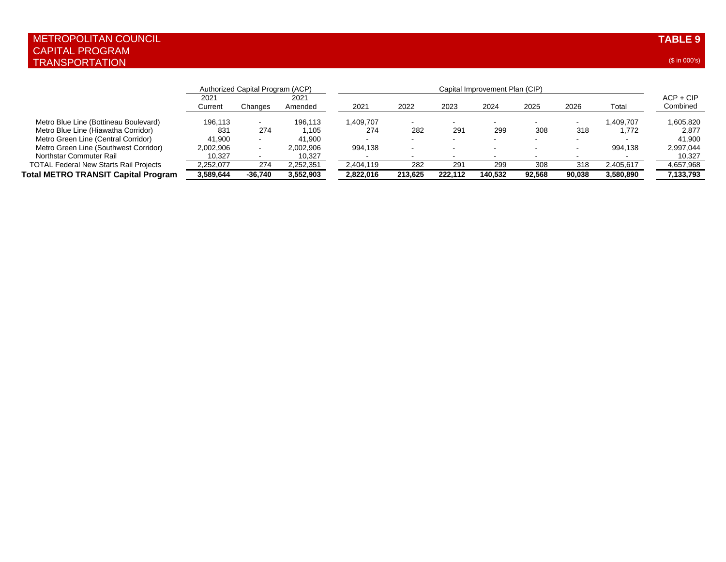|                                               | Authorized Capital Program (ACP) |         |                 | Capital Improvement Plan (CIP) |         |                          |         |        |                          |           |                         |
|-----------------------------------------------|----------------------------------|---------|-----------------|--------------------------------|---------|--------------------------|---------|--------|--------------------------|-----------|-------------------------|
|                                               | 2021<br>Current                  | Changes | 2021<br>Amended | 2021                           | 2022    | 2023                     | 2024    | 2025   | 2026                     | Total     | $ACP + CIP$<br>Combined |
| Metro Blue Line (Bottineau Boulevard)         | 196.113                          |         | 196.113         | 1,409,707                      |         |                          |         |        |                          | .409.707  | 1,605,820               |
| Metro Blue Line (Hiawatha Corridor)           | 831                              | 274     | 1.105           | 274                            | 282     | 291                      | 299     | 308    | 318                      | 1.772     | 2,877                   |
| Metro Green Line (Central Corridor)           | 41.900                           |         | 41.900          |                                | . .     | $\overline{\phantom{a}}$ | . .     | . .    | $\overline{\phantom{a}}$ |           | 41.900                  |
| Metro Green Line (Southwest Corridor)         | 2,002,906                        |         | 2,002,906       | 994,138                        | $\sim$  | $\sim$                   |         | . .    |                          | 994.138   | 2,997,044               |
| Northstar Commuter Rail                       | 10.327                           |         | 10,327          |                                |         |                          |         |        |                          |           | 10.327                  |
| <b>TOTAL Federal New Starts Rail Projects</b> | 2,252,077                        | 274     | 2,252,351       | 2,404,119                      | 282     | 291                      | 299     | 308    | 318                      | 2,405,617 | 4,657,968               |
| Total METRO TRANSIT Capital Program           | 3,589,644                        | -36.740 | 3,552,903       | 2.822.016                      | 213.625 | 222.112                  | 140.532 | 92.568 | 90.038                   | 3,580,890 | 7,133,793               |